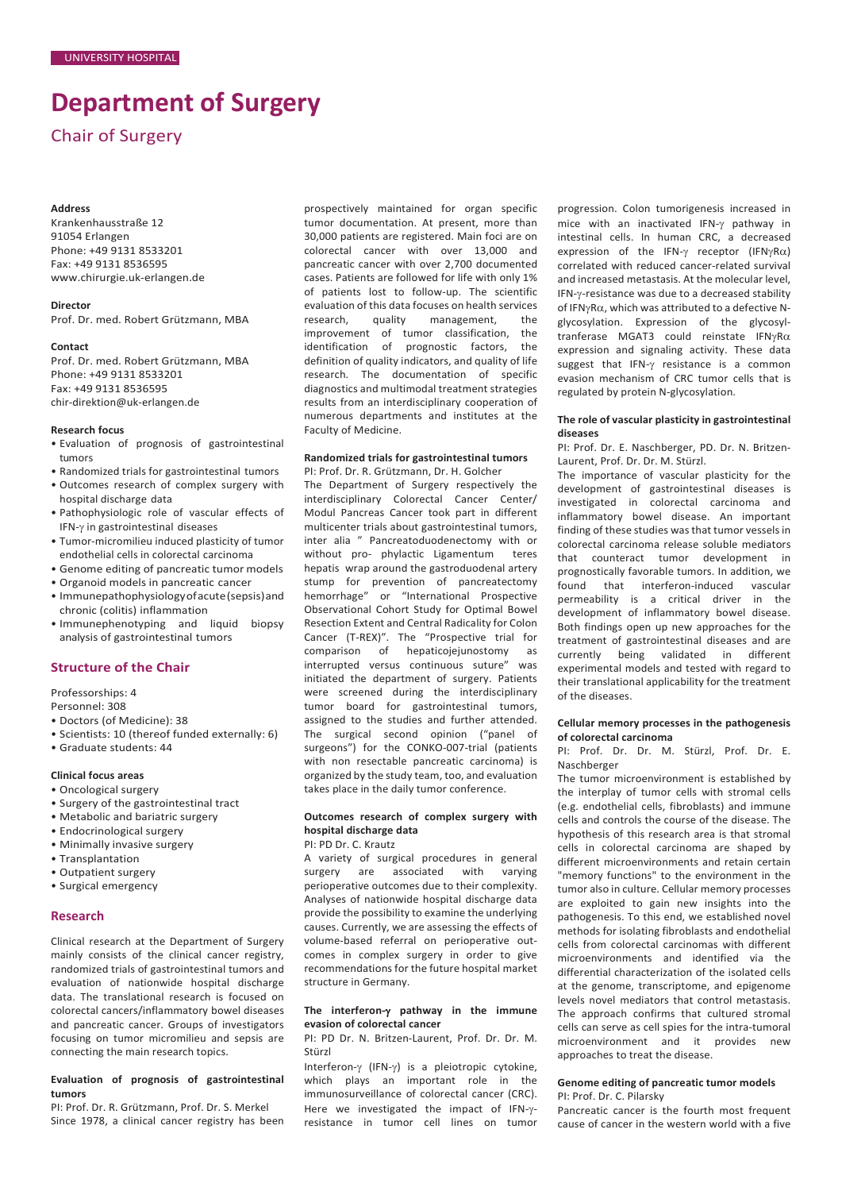# **Department of Surgery**

Chair of Surgery

#### **Address**

Krankenhausstraße 12 91054 Erlangen Phone: +49 9131 8533201 Fax: +49 9131 8536595 [www.chirurgie.uk-erlangen.de](http://www.chirurgie.uk-erlangen.de/)

# **Director**

Prof. Dr. med. Robert Grützmann, MBA

#### **Contact**

Prof. Dr. med. Robert Grützmann, MBA Phone: +49 9131 8533201 Fax: +49 9131 8536595 [chir-direktion@uk-erlangen.de](mailto:chir-direktion@uk-erlangen.de)

#### **Research focus**

- Evaluation of prognosis of gastrointestinal tumors
- Randomized trials for gastrointestinal tumors
- Outcomes research of complex surgery with hospital discharge data
- Pathophysiologic role of vascular effects of IFN-γ in gastrointestinal diseases
- Tumor-micromilieu induced plasticity of tumor endothelial cells in colorectal carcinoma
- Genome editing of pancreatic tumor models
- Organoid models in pancreatic cancer
- Immunepathophysiologyofacute(sepsis)and chronic (colitis) inflammation
- Immunephenotyping and liquid biopsy analysis of gastrointestinal tumors

## **Structure of the Chair**

Professorships: 4

Personnel: 308

- Doctors (of Medicine): 38
- Scientists: 10 (thereof funded externally: 6)
- Graduate students: 44

# **Clinical focus areas**

- Oncological surgery
- Surgery of the gastrointestinal tract
- Metabolic and bariatric surgery
- Endocrinological surgery
- Minimally invasive surgery
- Transplantation
- Outpatient surgery
- Surgical emergency

## **Research**

Clinical research at the Department of Surgery mainly consists of the clinical cancer registry, randomized trials of gastrointestinal tumors and evaluation of nationwide hospital discharge data. The translational research is focused on colorectal cancers/inflammatory bowel diseases and pancreatic cancer. Groups of investigators focusing on tumor micromilieu and sepsis are connecting the main research topics.

# **Evaluation of prognosis of gastrointestinal tumors**

PI: Prof. Dr. R. Grützmann, Prof. Dr. S. Merkel Since 1978, a clinical cancer registry has been prospectively maintained for organ specific tumor documentation. At present, more than 30,000 patients are registered. Main foci are on colorectal cancer with over 13,000 and pancreatic cancer with over 2,700 documented cases. Patients are followed for life with only 1% of patients lost to follow-up. The scientific evaluation of this data focuses on health services research, quality management, the improvement of tumor classification, the identification of prognostic factors, the definition of quality indicators, and quality of life research. The documentation of specific diagnostics and multimodal treatment strategies results from an interdisciplinary cooperation of numerous departments and institutes at the Faculty of Medicine.

# **Randomized trials for gastrointestinal tumors**

PI: Prof. Dr. R. Grützmann, Dr. H. Golcher The Department of Surgery respectively the interdisciplinary Colorectal Cancer Center/ Modul Pancreas Cancer took part in different multicenter trials about gastrointestinal tumors, inter alia " Pancreatoduodenectomy with or without pro- phylactic Ligamentum teres hepatis wrap around the gastroduodenal artery stump for prevention of pancreatectomy hemorrhage" or "International Prospective Observational Cohort Study for Optimal Bowel Resection Extent and Central Radicality for Colon Cancer (T-REX)". The "Prospective trial for comparison of hepaticojejunostomy as interrupted versus continuous suture" was initiated the department of surgery. Patients were screened during the interdisciplinary tumor board for gastrointestinal tumors, assigned to the studies and further attended. The surgical second opinion ("panel of surgeons") for the CONKO-007-trial (patients with non resectable pancreatic carcinoma) is organized by the study team, too, and evaluation takes place in the daily tumor conference.

# **Outcomes research of complex surgery with hospital discharge data**

PI: PD Dr. C. Krautz

A variety of surgical procedures in general surgery are associated with varying perioperative outcomes due to their complexity. Analyses of nationwide hospital discharge data provide the possibility to examine the underlying causes. Currently, we are assessing the effects of volume-based referral on perioperative outcomes in complex surgery in order to give recommendations for the future hospital market structure in Germany.

#### **The interferon-**γ **pathway in the immune evasion of colorectal cancer**

PI: PD Dr. N. Britzen-Laurent, Prof. Dr. Dr. M. Stürzl

Interferon-γ (IFN-γ) is a pleiotropic cytokine, which plays an important role in the immunosurveillance of colorectal cancer (CRC). Here we investigated the impact of IFN-γresistance in tumor cell lines on tumor

progression. Colon tumorigenesis increased in mice with an inactivated IFN-γ pathway in intestinal cells. In human CRC, a decreased expression of the IFN-γ receptor (IFNγRα) correlated with reduced cancer-related survival and increased metastasis. At the molecular level, IFN-γ-resistance was due to a decreased stability of IFNγRα, which was attributed to a defective Nglycosylation. Expression of the glycosyltranferase MGAT3 could reinstate IFNγRα expression and signaling activity. These data suggest that IFN-γ resistance is a common evasion mechanism of CRC tumor cells that is regulated by protein N-glycosylation.

## **The role of vascular plasticity in gastrointestinal diseases**

PI: Prof. Dr. E. Naschberger, PD. Dr. N. Britzen-Laurent, Prof. Dr. Dr. M. Stürzl.

The importance of vascular plasticity for the development of gastrointestinal diseases is investigated in colorectal carcinoma and inflammatory bowel disease. An important finding of these studies was that tumor vessels in colorectal carcinoma release soluble mediators that counteract tumor development in prognostically favorable tumors. In addition, we found that interferon-induced vascular permeability is a critical driver in the development of inflammatory bowel disease. Both findings open up new approaches for the treatment of gastrointestinal diseases and are currently being validated in different experimental models and tested with regard to their translational applicability for the treatment of the diseases.

#### **Cellular memory processes in the pathogenesis of colorectal carcinoma**

PI: Prof. Dr. Dr. M. Stürzl, Prof. Dr. E. Naschberger

The tumor microenvironment is established by the interplay of tumor cells with stromal cells (e.g. endothelial cells, fibroblasts) and immune cells and controls the course of the disease. The hypothesis of this research area is that stromal cells in colorectal carcinoma are shaped by different microenvironments and retain certain "memory functions" to the environment in the tumor also in culture. Cellular memory processes are exploited to gain new insights into the pathogenesis. To this end, we established novel methods for isolating fibroblasts and endothelial cells from colorectal carcinomas with different microenvironments and identified via the differential characterization of the isolated cells at the genome, transcriptome, and epigenome levels novel mediators that control metastasis. The approach confirms that cultured stromal cells can serve as cell spies for the intra-tumoral microenvironment and it provides new approaches to treat the disease.

# **Genome editing of pancreatic tumor models**

PI: Prof. Dr. C. Pilarsky

Pancreatic cancer is the fourth most frequent cause of cancer in the western world with a five